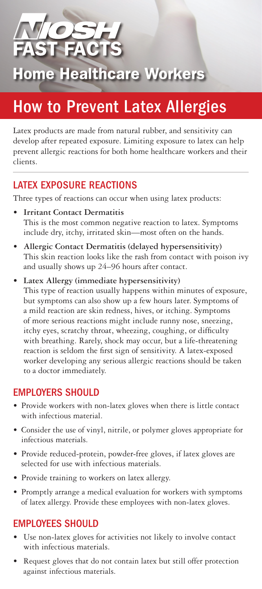**Home Healthcare Workers** 

# How to Prevent Latex Allergies

Latex products are made from natural rubber, and sensitivity can develop after repeated exposure. Limiting exposure to latex can help prevent allergic reactions for both home healthcare workers and their clients.

#### LATEX EXPOSURE REACTIONS

Three types of reactions can occur when using latex products:

- **Irritant Contact Dermatitis** This is the most common negative reaction to latex. Symptoms include dry, itchy, irritated skin—most often on the hands.
- Allergic Contact Dermatitis (delayed hypersensitivity) This skin reaction looks like the rash from contact with poison ivy and usually shows up 24–96 hours after contact.
- • **Latex Allergy (immediate hypersensitivity)** This type of reaction usually happens within minutes of exposure, but symptoms can also show up a few hours later. Symptoms of a mild reaction are skin redness, hives, or itching. Symptoms of more serious reactions might include runny nose, sneezing, itchy eyes, scratchy throat, wheezing, coughing, or difficulty with breathing. Rarely, shock may occur, but a life-threatening reaction is seldom the first sign of sensitivity. A latex-exposed worker developing any serious allergic reactions should be taken to a doctor immediately.

### EMPLOYERS SHOULD

- Provide workers with non-latex gloves when there is little contact with infectious material.
- Consider the use of vinyl, nitrile, or polymer gloves appropriate for infectious materials.
- • Provide reduced-protein, powder-free gloves, if latex gloves are selected for use with infectious materials.
- • Provide training to workers on latex allergy.
- Promptly arrange a medical evaluation for workers with symptoms of latex allergy. Provide these employees with non-latex gloves.

## EMPLOYEES SHOULD

- • Use non-latex gloves for activities not likely to involve contact with infectious materials.
- Request gloves that do not contain latex but still offer protection against infectious materials.